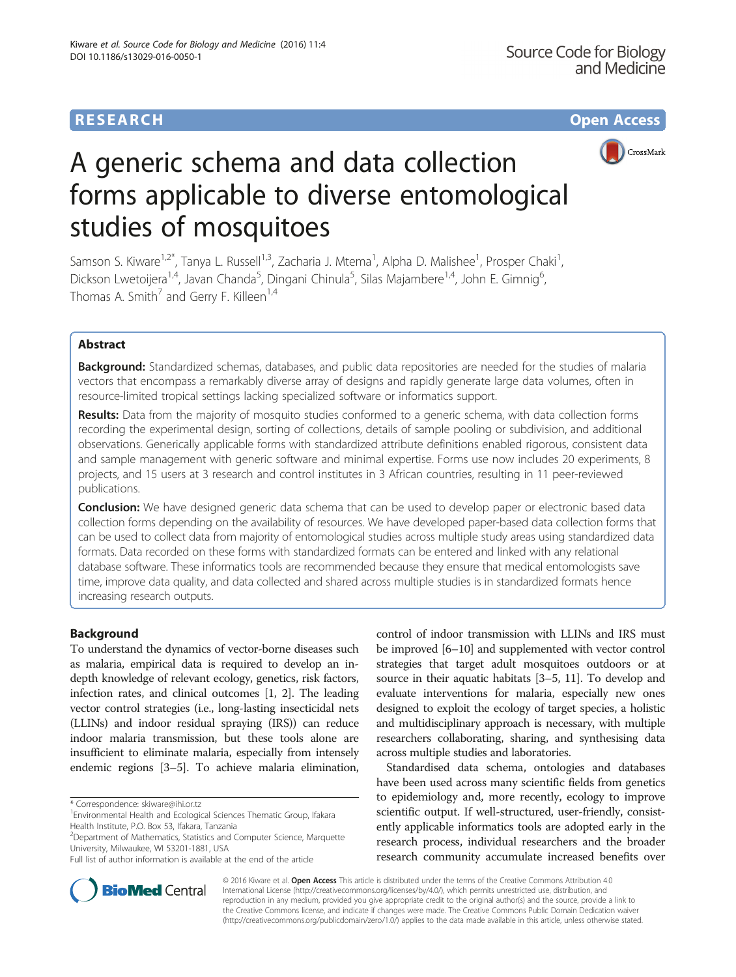# **RESEARCH CHE Open Access**



# A generic schema and data collection forms applicable to diverse entomological studies of mosquitoes

Samson S. Kiware<sup>1,2\*</sup>, Tanya L. Russell<sup>1,3</sup>, Zacharia J. Mtema<sup>1</sup>, Alpha D. Malishee<sup>1</sup>, Prosper Chaki<sup>1</sup> , Dickson Lwetoijera<sup>1,4</sup>, Javan Chanda<sup>5</sup>, Dingani Chinula<sup>5</sup>, Silas Majambere<sup>1,4</sup>, John E. Gimnig<sup>6</sup> , Thomas A. Smith<sup>7</sup> and Gerry F. Killeen<sup>1,4</sup>

## Abstract

**Background:** Standardized schemas, databases, and public data repositories are needed for the studies of malaria vectors that encompass a remarkably diverse array of designs and rapidly generate large data volumes, often in resource-limited tropical settings lacking specialized software or informatics support.

Results: Data from the majority of mosquito studies conformed to a generic schema, with data collection forms recording the experimental design, sorting of collections, details of sample pooling or subdivision, and additional observations. Generically applicable forms with standardized attribute definitions enabled rigorous, consistent data and sample management with generic software and minimal expertise. Forms use now includes 20 experiments, 8 projects, and 15 users at 3 research and control institutes in 3 African countries, resulting in 11 peer-reviewed publications.

**Conclusion:** We have designed generic data schema that can be used to develop paper or electronic based data collection forms depending on the availability of resources. We have developed paper-based data collection forms that can be used to collect data from majority of entomological studies across multiple study areas using standardized data formats. Data recorded on these forms with standardized formats can be entered and linked with any relational database software. These informatics tools are recommended because they ensure that medical entomologists save time, improve data quality, and data collected and shared across multiple studies is in standardized formats hence increasing research outputs.

## Background

To understand the dynamics of vector-borne diseases such as malaria, empirical data is required to develop an indepth knowledge of relevant ecology, genetics, risk factors, infection rates, and clinical outcomes [\[1, 2\]](#page-9-0). The leading vector control strategies (i.e., long-lasting insecticidal nets (LLINs) and indoor residual spraying (IRS)) can reduce indoor malaria transmission, but these tools alone are insufficient to eliminate malaria, especially from intensely endemic regions [[3](#page-9-0)–[5\]](#page-9-0). To achieve malaria elimination,

<sup>2</sup>Department of Mathematics, Statistics and Computer Science, Marquette University, Milwaukee, WI 53201-1881, USA

control of indoor transmission with LLINs and IRS must be improved [[6](#page-9-0)–[10\]](#page-9-0) and supplemented with vector control strategies that target adult mosquitoes outdoors or at source in their aquatic habitats [\[3](#page-9-0)–[5,](#page-9-0) [11\]](#page-10-0). To develop and evaluate interventions for malaria, especially new ones designed to exploit the ecology of target species, a holistic and multidisciplinary approach is necessary, with multiple researchers collaborating, sharing, and synthesising data across multiple studies and laboratories.

Standardised data schema, ontologies and databases have been used across many scientific fields from genetics to epidemiology and, more recently, ecology to improve scientific output. If well-structured, user-friendly, consistently applicable informatics tools are adopted early in the research process, individual researchers and the broader research community accumulate increased benefits over



© 2016 Kiware et al. Open Access This article is distributed under the terms of the Creative Commons Attribution 4.0 International License [\(http://creativecommons.org/licenses/by/4.0/](http://creativecommons.org/licenses/by/4.0/)), which permits unrestricted use, distribution, and reproduction in any medium, provided you give appropriate credit to the original author(s) and the source, provide a link to the Creative Commons license, and indicate if changes were made. The Creative Commons Public Domain Dedication waiver [\(http://creativecommons.org/publicdomain/zero/1.0/](http://creativecommons.org/publicdomain/zero/1.0/)) applies to the data made available in this article, unless otherwise stated.

<sup>\*</sup> Correspondence: [skiware@ihi.or.tz](mailto:skiware@ihi.or.tz) <sup>1</sup>

<sup>&</sup>lt;sup>1</sup> Environmental Health and Ecological Sciences Thematic Group, Ifakara Health Institute, P.O. Box 53, Ifakara, Tanzania

Full list of author information is available at the end of the article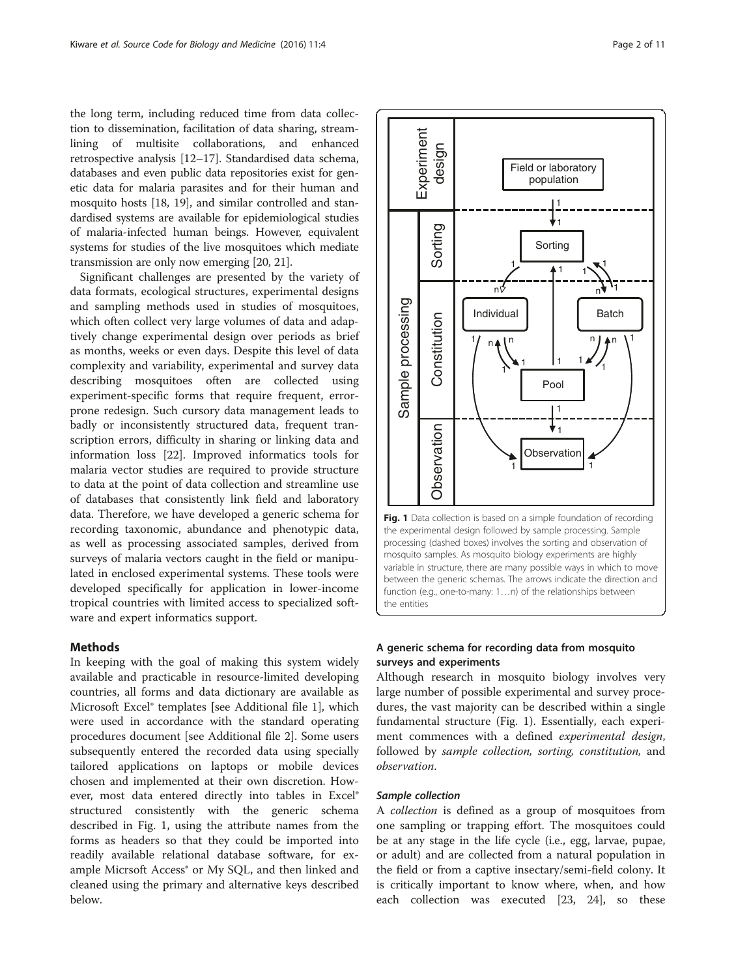<span id="page-1-0"></span>the long term, including reduced time from data collection to dissemination, facilitation of data sharing, streamlining of multisite collaborations, and enhanced retrospective analysis [\[12](#page-10-0)–[17](#page-10-0)]. Standardised data schema, databases and even public data repositories exist for genetic data for malaria parasites and for their human and mosquito hosts [\[18](#page-10-0), [19](#page-10-0)], and similar controlled and standardised systems are available for epidemiological studies of malaria-infected human beings. However, equivalent systems for studies of the live mosquitoes which mediate transmission are only now emerging [[20](#page-10-0), [21\]](#page-10-0).

Significant challenges are presented by the variety of data formats, ecological structures, experimental designs and sampling methods used in studies of mosquitoes, which often collect very large volumes of data and adaptively change experimental design over periods as brief as months, weeks or even days. Despite this level of data complexity and variability, experimental and survey data describing mosquitoes often are collected using experiment-specific forms that require frequent, errorprone redesign. Such cursory data management leads to badly or inconsistently structured data, frequent transcription errors, difficulty in sharing or linking data and information loss [\[22\]](#page-10-0). Improved informatics tools for malaria vector studies are required to provide structure to data at the point of data collection and streamline use of databases that consistently link field and laboratory data. Therefore, we have developed a generic schema for recording taxonomic, abundance and phenotypic data, as well as processing associated samples, derived from surveys of malaria vectors caught in the field or manipulated in enclosed experimental systems. These tools were developed specifically for application in lower-income tropical countries with limited access to specialized software and expert informatics support.

#### Methods

In keeping with the goal of making this system widely available and practicable in resource-limited developing countries, all forms and data dictionary are available as Microsoft Excel® templates [see Additional file [1](#page-9-0)], which were used in accordance with the standard operating procedures document [see Additional file [2](#page-9-0)]. Some users subsequently entered the recorded data using specially tailored applications on laptops or mobile devices chosen and implemented at their own discretion. However, most data entered directly into tables in Excel® structured consistently with the generic schema described in Fig. 1, using the attribute names from the forms as headers so that they could be imported into readily available relational database software, for example Micrsoft Access<sup>®</sup> or My SQL, and then linked and cleaned using the primary and alternative keys described below.



## A generic schema for recording data from mosquito surveys and experiments

Although research in mosquito biology involves very large number of possible experimental and survey procedures, the vast majority can be described within a single fundamental structure (Fig. 1). Essentially, each experiment commences with a defined experimental design, followed by sample collection, sorting, constitution, and observation.

## Sample collection

A collection is defined as a group of mosquitoes from one sampling or trapping effort. The mosquitoes could be at any stage in the life cycle (i.e., egg, larvae, pupae, or adult) and are collected from a natural population in the field or from a captive insectary/semi-field colony. It is critically important to know where, when, and how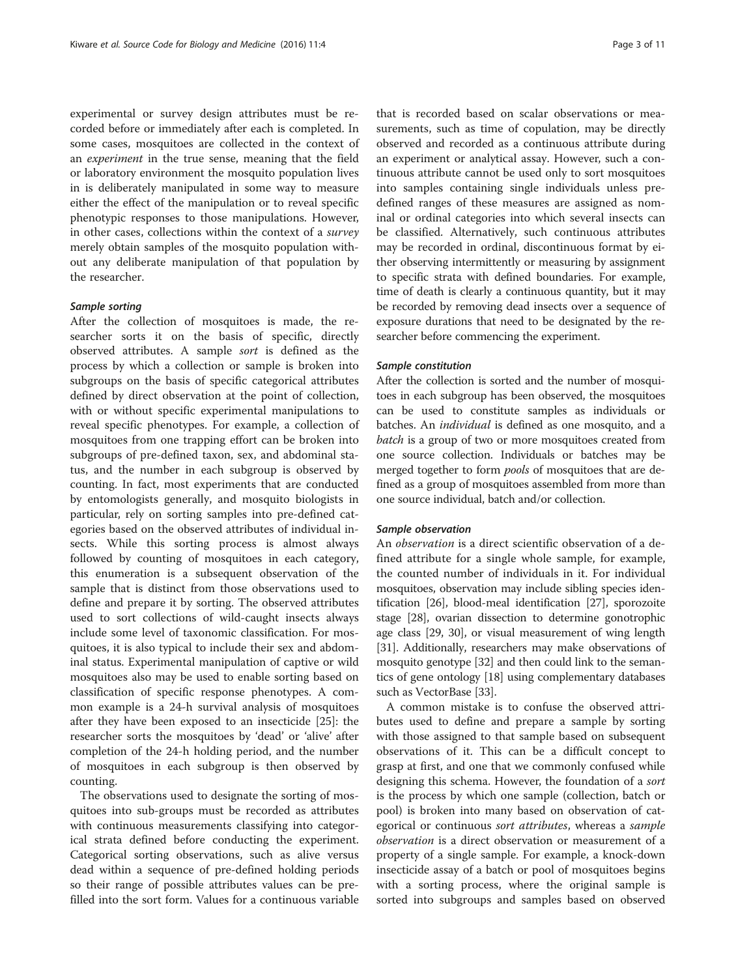experimental or survey design attributes must be recorded before or immediately after each is completed. In some cases, mosquitoes are collected in the context of an experiment in the true sense, meaning that the field or laboratory environment the mosquito population lives in is deliberately manipulated in some way to measure either the effect of the manipulation or to reveal specific phenotypic responses to those manipulations. However, in other cases, collections within the context of a survey merely obtain samples of the mosquito population without any deliberate manipulation of that population by the researcher.

#### Sample sorting

After the collection of mosquitoes is made, the researcher sorts it on the basis of specific, directly observed attributes. A sample sort is defined as the process by which a collection or sample is broken into subgroups on the basis of specific categorical attributes defined by direct observation at the point of collection, with or without specific experimental manipulations to reveal specific phenotypes. For example, a collection of mosquitoes from one trapping effort can be broken into subgroups of pre-defined taxon, sex, and abdominal status, and the number in each subgroup is observed by counting. In fact, most experiments that are conducted by entomologists generally, and mosquito biologists in particular, rely on sorting samples into pre-defined categories based on the observed attributes of individual insects. While this sorting process is almost always followed by counting of mosquitoes in each category, this enumeration is a subsequent observation of the sample that is distinct from those observations used to define and prepare it by sorting. The observed attributes used to sort collections of wild-caught insects always include some level of taxonomic classification. For mosquitoes, it is also typical to include their sex and abdominal status. Experimental manipulation of captive or wild mosquitoes also may be used to enable sorting based on classification of specific response phenotypes. A common example is a 24-h survival analysis of mosquitoes after they have been exposed to an insecticide [[25](#page-10-0)]: the researcher sorts the mosquitoes by 'dead' or 'alive' after completion of the 24-h holding period, and the number of mosquitoes in each subgroup is then observed by counting.

The observations used to designate the sorting of mosquitoes into sub-groups must be recorded as attributes with continuous measurements classifying into categorical strata defined before conducting the experiment. Categorical sorting observations, such as alive versus dead within a sequence of pre-defined holding periods so their range of possible attributes values can be prefilled into the sort form. Values for a continuous variable

that is recorded based on scalar observations or measurements, such as time of copulation, may be directly observed and recorded as a continuous attribute during an experiment or analytical assay. However, such a continuous attribute cannot be used only to sort mosquitoes into samples containing single individuals unless predefined ranges of these measures are assigned as nominal or ordinal categories into which several insects can be classified. Alternatively, such continuous attributes may be recorded in ordinal, discontinuous format by either observing intermittently or measuring by assignment to specific strata with defined boundaries. For example, time of death is clearly a continuous quantity, but it may be recorded by removing dead insects over a sequence of exposure durations that need to be designated by the researcher before commencing the experiment.

#### Sample constitution

After the collection is sorted and the number of mosquitoes in each subgroup has been observed, the mosquitoes can be used to constitute samples as individuals or batches. An individual is defined as one mosquito, and a batch is a group of two or more mosquitoes created from one source collection. Individuals or batches may be merged together to form pools of mosquitoes that are defined as a group of mosquitoes assembled from more than one source individual, batch and/or collection.

#### Sample observation

An observation is a direct scientific observation of a defined attribute for a single whole sample, for example, the counted number of individuals in it. For individual mosquitoes, observation may include sibling species identification [[26](#page-10-0)], blood-meal identification [[27](#page-10-0)], sporozoite stage [[28](#page-10-0)], ovarian dissection to determine gonotrophic age class [\[29, 30\]](#page-10-0), or visual measurement of wing length [[31](#page-10-0)]. Additionally, researchers may make observations of mosquito genotype [\[32\]](#page-10-0) and then could link to the semantics of gene ontology [[18\]](#page-10-0) using complementary databases such as VectorBase [\[33\]](#page-10-0).

A common mistake is to confuse the observed attributes used to define and prepare a sample by sorting with those assigned to that sample based on subsequent observations of it. This can be a difficult concept to grasp at first, and one that we commonly confused while designing this schema. However, the foundation of a sort is the process by which one sample (collection, batch or pool) is broken into many based on observation of categorical or continuous sort attributes, whereas a sample observation is a direct observation or measurement of a property of a single sample. For example, a knock-down insecticide assay of a batch or pool of mosquitoes begins with a sorting process, where the original sample is sorted into subgroups and samples based on observed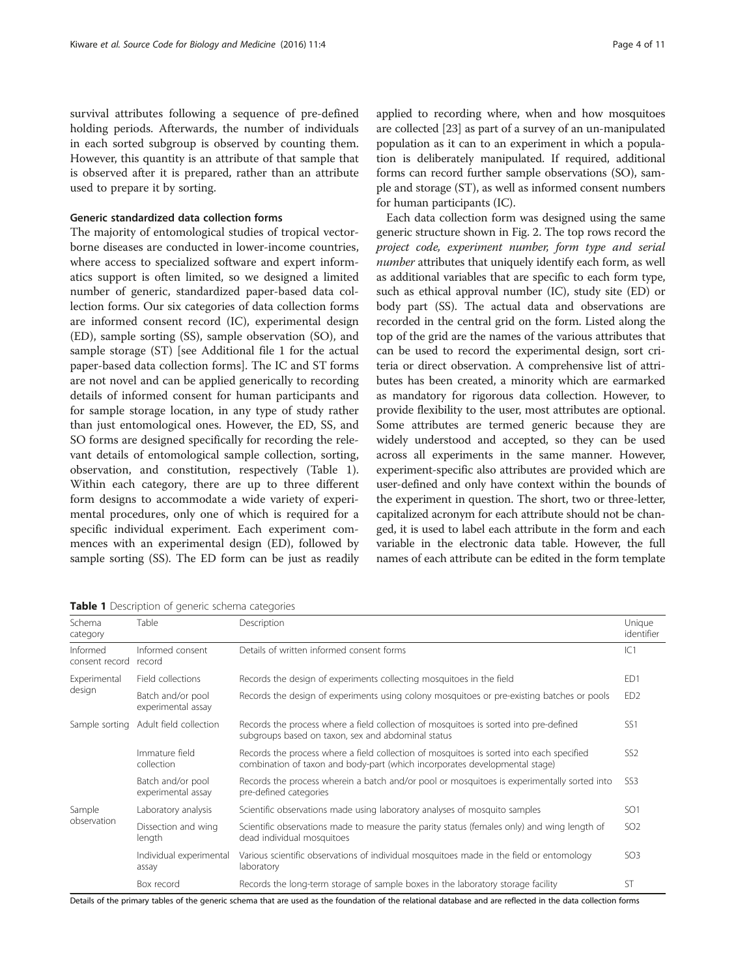survival attributes following a sequence of pre-defined holding periods. Afterwards, the number of individuals in each sorted subgroup is observed by counting them. However, this quantity is an attribute of that sample that is observed after it is prepared, rather than an attribute used to prepare it by sorting.

#### Generic standardized data collection forms

The majority of entomological studies of tropical vectorborne diseases are conducted in lower-income countries, where access to specialized software and expert informatics support is often limited, so we designed a limited number of generic, standardized paper-based data collection forms. Our six categories of data collection forms are informed consent record (IC), experimental design (ED), sample sorting (SS), sample observation (SO), and sample storage (ST) [see Additional file [1](#page-9-0) for the actual paper-based data collection forms]. The IC and ST forms are not novel and can be applied generically to recording details of informed consent for human participants and for sample storage location, in any type of study rather than just entomological ones. However, the ED, SS, and SO forms are designed specifically for recording the relevant details of entomological sample collection, sorting, observation, and constitution, respectively (Table 1). Within each category, there are up to three different form designs to accommodate a wide variety of experimental procedures, only one of which is required for a specific individual experiment. Each experiment commences with an experimental design (ED), followed by sample sorting (SS). The ED form can be just as readily

Table 1 Description of generic schema categories

Informed consent

record

Schema category

Informed consent record

Experimental

design Batch and/or pool experimental assay Records the design of experiments using colony mosquitoes or pre-existing batches or pools ED2 Sample sorting Adult field collection Records the process where a field collection of mosquitoes is sorted into pre-defined subgroups based on taxon, sex and abdominal status  $SS1$ Immature field collection Records the process where a field collection of mosquitoes is sorted into each specified combination of taxon and body-part (which incorporates developmental stage) SS2 Batch and/or pool experimental assay Records the process wherein a batch and/or pool or mosquitoes is experimentally sorted into pre-defined categories SS3 Sample observation Laboratory analysis Scientific observations made using laboratory analyses of mosquito samples SO1 Dissection and wing length Scientific observations made to measure the parity status (females only) and wing length of dead individual mosquitoes SO2 Individual experimental assay Various scientific observations of individual mosquitoes made in the field or entomology laboratory SO3 Box record Records the long-term storage of sample boxes in the laboratory storage facility ST

Table Description Unique

Field collections Records the design of experiments collecting mosquitoes in the field ED1

Details of written informed consent forms IC1

identifier

applied to recording where, when and how mosquitoes are collected [[23\]](#page-10-0) as part of a survey of an un-manipulated population as it can to an experiment in which a population is deliberately manipulated. If required, additional forms can record further sample observations (SO), sample and storage (ST), as well as informed consent numbers for human participants (IC).

Each data collection form was designed using the same generic structure shown in Fig. [2](#page-4-0). The top rows record the project code, experiment number, form type and serial number attributes that uniquely identify each form, as well as additional variables that are specific to each form type, such as ethical approval number (IC), study site (ED) or body part (SS). The actual data and observations are recorded in the central grid on the form. Listed along the top of the grid are the names of the various attributes that can be used to record the experimental design, sort criteria or direct observation. A comprehensive list of attributes has been created, a minority which are earmarked as mandatory for rigorous data collection. However, to provide flexibility to the user, most attributes are optional. Some attributes are termed generic because they are widely understood and accepted, so they can be used across all experiments in the same manner. However, experiment-specific also attributes are provided which are user-defined and only have context within the bounds of the experiment in question. The short, two or three-letter, capitalized acronym for each attribute should not be changed, it is used to label each attribute in the form and each variable in the electronic data table. However, the full names of each attribute can be edited in the form template

Details of the primary tables of the generic schema that are used as the foundation of the relational database and are reflected in the data collection forms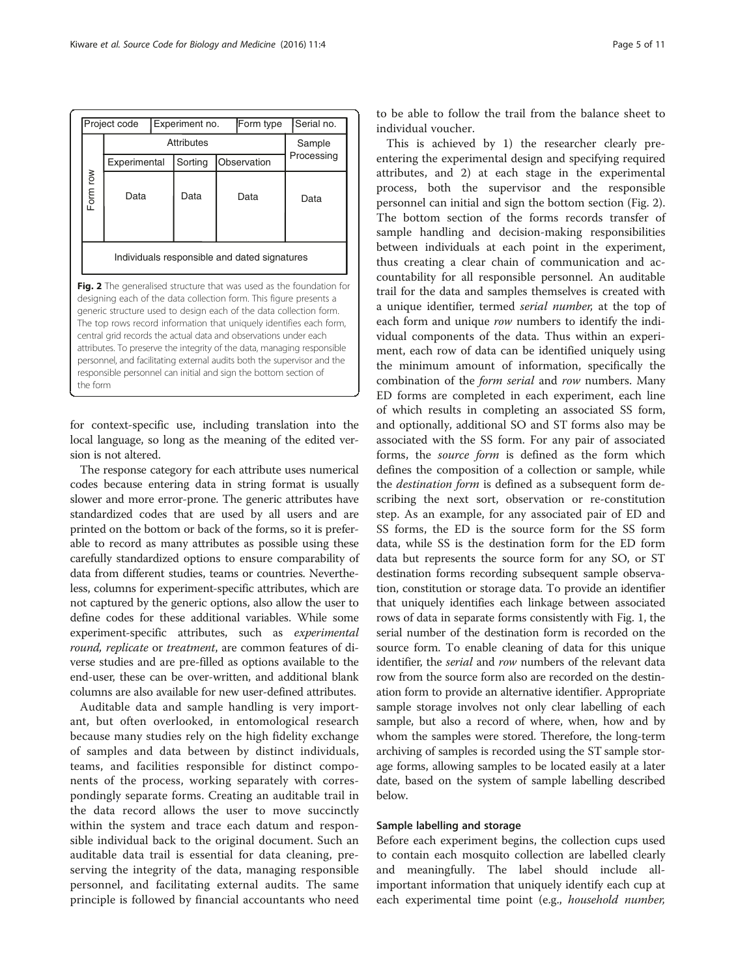<span id="page-4-0"></span>

|                                                                                                                                                                                                                                                                                                                                                                                                                                                                                                                                                                                                   | Project code |  | Experiment no. |      | Form type   | Serial no. |
|---------------------------------------------------------------------------------------------------------------------------------------------------------------------------------------------------------------------------------------------------------------------------------------------------------------------------------------------------------------------------------------------------------------------------------------------------------------------------------------------------------------------------------------------------------------------------------------------------|--------------|--|----------------|------|-------------|------------|
|                                                                                                                                                                                                                                                                                                                                                                                                                                                                                                                                                                                                   | Attributes   |  |                |      |             | Sample     |
|                                                                                                                                                                                                                                                                                                                                                                                                                                                                                                                                                                                                   | Experimental |  | Sorting        |      | Observation | Processing |
| Form row                                                                                                                                                                                                                                                                                                                                                                                                                                                                                                                                                                                          | Data         |  | Data           | Data |             | Data       |
| Individuals responsible and dated signatures                                                                                                                                                                                                                                                                                                                                                                                                                                                                                                                                                      |              |  |                |      |             |            |
| Fig. 2 The generalised structure that was used as the foundation for<br>designing each of the data collection form. This figure presents a<br>generic structure used to design each of the data collection form.<br>The top rows record information that uniquely identifies each form,<br>central grid records the actual data and observations under each<br>attributes. To preserve the integrity of the data, managing responsible<br>personnel, and facilitating external audits both the supervisor and the<br>responsible personnel can initial and sign the bottom section of<br>the form |              |  |                |      |             |            |

for context-specific use, including translation into the local language, so long as the meaning of the edited version is not altered.

The response category for each attribute uses numerical codes because entering data in string format is usually slower and more error-prone. The generic attributes have standardized codes that are used by all users and are printed on the bottom or back of the forms, so it is preferable to record as many attributes as possible using these carefully standardized options to ensure comparability of data from different studies, teams or countries. Nevertheless, columns for experiment-specific attributes, which are not captured by the generic options, also allow the user to define codes for these additional variables. While some experiment-specific attributes, such as experimental round, replicate or treatment, are common features of diverse studies and are pre-filled as options available to the end-user, these can be over-written, and additional blank columns are also available for new user-defined attributes.

Auditable data and sample handling is very important, but often overlooked, in entomological research because many studies rely on the high fidelity exchange of samples and data between by distinct individuals, teams, and facilities responsible for distinct components of the process, working separately with correspondingly separate forms. Creating an auditable trail in the data record allows the user to move succinctly within the system and trace each datum and responsible individual back to the original document. Such an auditable data trail is essential for data cleaning, preserving the integrity of the data, managing responsible personnel, and facilitating external audits. The same principle is followed by financial accountants who need

to be able to follow the trail from the balance sheet to individual voucher.

This is achieved by 1) the researcher clearly preentering the experimental design and specifying required attributes, and 2) at each stage in the experimental process, both the supervisor and the responsible personnel can initial and sign the bottom section (Fig. 2). The bottom section of the forms records transfer of sample handling and decision-making responsibilities between individuals at each point in the experiment, thus creating a clear chain of communication and accountability for all responsible personnel. An auditable trail for the data and samples themselves is created with a unique identifier, termed serial number, at the top of each form and unique row numbers to identify the individual components of the data. Thus within an experiment, each row of data can be identified uniquely using the minimum amount of information, specifically the combination of the form serial and row numbers. Many ED forms are completed in each experiment, each line of which results in completing an associated SS form, and optionally, additional SO and ST forms also may be associated with the SS form. For any pair of associated forms, the source form is defined as the form which defines the composition of a collection or sample, while the destination form is defined as a subsequent form describing the next sort, observation or re-constitution step. As an example, for any associated pair of ED and SS forms, the ED is the source form for the SS form data, while SS is the destination form for the ED form data but represents the source form for any SO, or ST destination forms recording subsequent sample observation, constitution or storage data. To provide an identifier that uniquely identifies each linkage between associated rows of data in separate forms consistently with Fig. [1](#page-1-0), the serial number of the destination form is recorded on the source form. To enable cleaning of data for this unique identifier, the *serial* and row numbers of the relevant data row from the source form also are recorded on the destination form to provide an alternative identifier. Appropriate sample storage involves not only clear labelling of each sample, but also a record of where, when, how and by whom the samples were stored. Therefore, the long-term archiving of samples is recorded using the ST sample storage forms, allowing samples to be located easily at a later date, based on the system of sample labelling described below.

#### Sample labelling and storage

Before each experiment begins, the collection cups used to contain each mosquito collection are labelled clearly and meaningfully. The label should include allimportant information that uniquely identify each cup at each experimental time point (e.g., household number,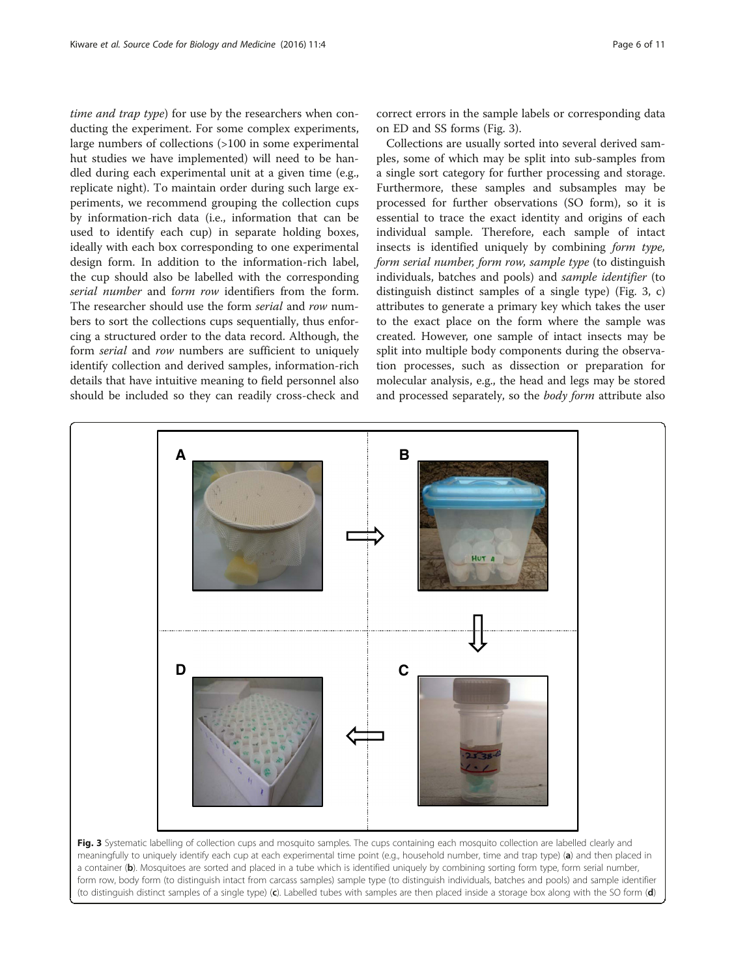time and trap type) for use by the researchers when conducting the experiment. For some complex experiments, large numbers of collections (>100 in some experimental hut studies we have implemented) will need to be handled during each experimental unit at a given time (e.g., replicate night). To maintain order during such large experiments, we recommend grouping the collection cups by information-rich data (i.e., information that can be used to identify each cup) in separate holding boxes, ideally with each box corresponding to one experimental design form. In addition to the information-rich label, the cup should also be labelled with the corresponding serial number and form row identifiers from the form. The researcher should use the form serial and row numbers to sort the collections cups sequentially, thus enforcing a structured order to the data record. Although, the form serial and row numbers are sufficient to uniquely identify collection and derived samples, information-rich details that have intuitive meaning to field personnel also should be included so they can readily cross-check and

Collections are usually sorted into several derived samples, some of which may be split into sub-samples from a single sort category for further processing and storage. Furthermore, these samples and subsamples may be processed for further observations (SO form), so it is essential to trace the exact identity and origins of each individual sample. Therefore, each sample of intact insects is identified uniquely by combining form type, form serial number, form row, sample type (to distinguish individuals, batches and pools) and sample identifier (to distinguish distinct samples of a single type) (Fig. 3, c) attributes to generate a primary key which takes the user to the exact place on the form where the sample was created. However, one sample of intact insects may be split into multiple body components during the observation processes, such as dissection or preparation for molecular analysis, e.g., the head and legs may be stored and processed separately, so the body form attribute also



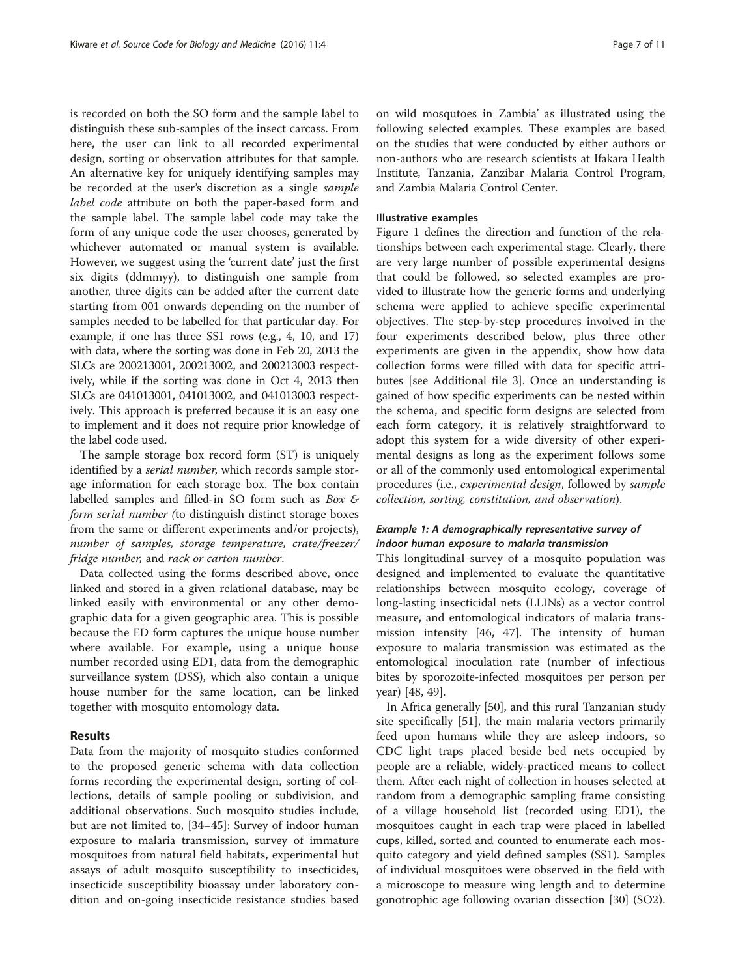is recorded on both the SO form and the sample label to distinguish these sub-samples of the insect carcass. From here, the user can link to all recorded experimental design, sorting or observation attributes for that sample. An alternative key for uniquely identifying samples may be recorded at the user's discretion as a single sample label code attribute on both the paper-based form and the sample label. The sample label code may take the form of any unique code the user chooses, generated by whichever automated or manual system is available. However, we suggest using the 'current date' just the first six digits (ddmmyy), to distinguish one sample from another, three digits can be added after the current date starting from 001 onwards depending on the number of samples needed to be labelled for that particular day. For example, if one has three SS1 rows (e.g., 4, 10, and 17) with data, where the sorting was done in Feb 20, 2013 the SLCs are 200213001, 200213002, and 200213003 respectively, while if the sorting was done in Oct 4, 2013 then SLCs are 041013001, 041013002, and 041013003 respectively. This approach is preferred because it is an easy one to implement and it does not require prior knowledge of the label code used.

The sample storage box record form (ST) is uniquely identified by a serial number, which records sample storage information for each storage box. The box contain labelled samples and filled-in SO form such as Box & form serial number (to distinguish distinct storage boxes from the same or different experiments and/or projects), number of samples, storage temperature, crate/freezer/ fridge number, and rack or carton number.

Data collected using the forms described above, once linked and stored in a given relational database, may be linked easily with environmental or any other demographic data for a given geographic area. This is possible because the ED form captures the unique house number where available. For example, using a unique house number recorded using ED1, data from the demographic surveillance system (DSS), which also contain a unique house number for the same location, can be linked together with mosquito entomology data.

#### Results

Data from the majority of mosquito studies conformed to the proposed generic schema with data collection forms recording the experimental design, sorting of collections, details of sample pooling or subdivision, and additional observations. Such mosquito studies include, but are not limited to, [\[34](#page-10-0)–[45\]](#page-10-0): Survey of indoor human exposure to malaria transmission, survey of immature mosquitoes from natural field habitats, experimental hut assays of adult mosquito susceptibility to insecticides, insecticide susceptibility bioassay under laboratory condition and on-going insecticide resistance studies based on wild mosqutoes in Zambia' as illustrated using the following selected examples. These examples are based on the studies that were conducted by either authors or non-authors who are research scientists at Ifakara Health Institute, Tanzania, Zanzibar Malaria Control Program, and Zambia Malaria Control Center.

#### Illustrative examples

Figure [1](#page-1-0) defines the direction and function of the relationships between each experimental stage. Clearly, there are very large number of possible experimental designs that could be followed, so selected examples are provided to illustrate how the generic forms and underlying schema were applied to achieve specific experimental objectives. The step-by-step procedures involved in the four experiments described below, plus three other experiments are given in the appendix, show how data collection forms were filled with data for specific attributes [see Additional file [3\]](#page-9-0). Once an understanding is gained of how specific experiments can be nested within the schema, and specific form designs are selected from each form category, it is relatively straightforward to adopt this system for a wide diversity of other experimental designs as long as the experiment follows some or all of the commonly used entomological experimental procedures (i.e., experimental design, followed by sample collection, sorting, constitution, and observation).

## Example 1: A demographically representative survey of indoor human exposure to malaria transmission

This longitudinal survey of a mosquito population was designed and implemented to evaluate the quantitative relationships between mosquito ecology, coverage of long-lasting insecticidal nets (LLINs) as a vector control measure, and entomological indicators of malaria transmission intensity [\[46](#page-10-0), [47](#page-10-0)]. The intensity of human exposure to malaria transmission was estimated as the entomological inoculation rate (number of infectious bites by sporozoite-infected mosquitoes per person per year) [[48, 49\]](#page-10-0).

In Africa generally [[50\]](#page-10-0), and this rural Tanzanian study site specifically [[51\]](#page-10-0), the main malaria vectors primarily feed upon humans while they are asleep indoors, so CDC light traps placed beside bed nets occupied by people are a reliable, widely-practiced means to collect them. After each night of collection in houses selected at random from a demographic sampling frame consisting of a village household list (recorded using ED1), the mosquitoes caught in each trap were placed in labelled cups, killed, sorted and counted to enumerate each mosquito category and yield defined samples (SS1). Samples of individual mosquitoes were observed in the field with a microscope to measure wing length and to determine gonotrophic age following ovarian dissection [\[30\]](#page-10-0) (SO2).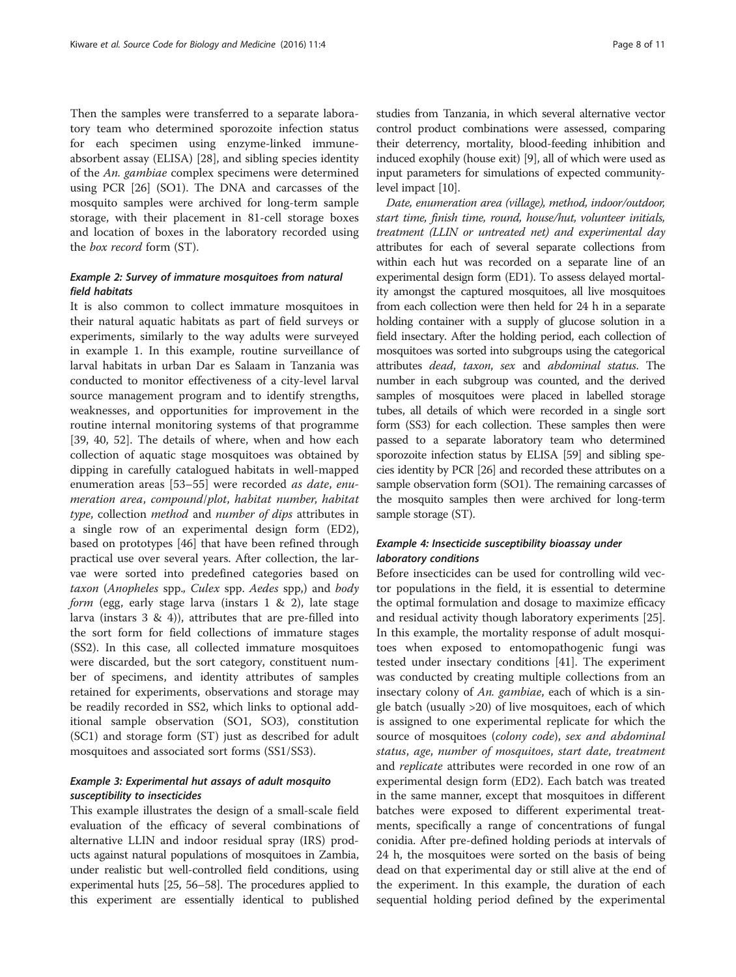Then the samples were transferred to a separate laboratory team who determined sporozoite infection status for each specimen using enzyme-linked immuneabsorbent assay (ELISA) [\[28](#page-10-0)], and sibling species identity of the An. gambiae complex specimens were determined using PCR [\[26\]](#page-10-0) (SO1). The DNA and carcasses of the mosquito samples were archived for long-term sample storage, with their placement in 81-cell storage boxes and location of boxes in the laboratory recorded using the box record form (ST).

## Example 2: Survey of immature mosquitoes from natural field habitats

It is also common to collect immature mosquitoes in their natural aquatic habitats as part of field surveys or experiments, similarly to the way adults were surveyed in example 1. In this example, routine surveillance of larval habitats in urban Dar es Salaam in Tanzania was conducted to monitor effectiveness of a city-level larval source management program and to identify strengths, weaknesses, and opportunities for improvement in the routine internal monitoring systems of that programme [[39, 40, 52\]](#page-10-0). The details of where, when and how each collection of aquatic stage mosquitoes was obtained by dipping in carefully catalogued habitats in well-mapped enumeration areas [\[53](#page-10-0)–[55\]](#page-10-0) were recorded as date, enumeration area, compound/plot, habitat number, habitat type, collection method and number of dips attributes in a single row of an experimental design form (ED2), based on prototypes [\[46](#page-10-0)] that have been refined through practical use over several years. After collection, the larvae were sorted into predefined categories based on taxon (Anopheles spp., Culex spp. Aedes spp,) and body form (egg, early stage larva (instars  $1 \& 2$ ), late stage larva (instars 3 & 4)), attributes that are pre-filled into the sort form for field collections of immature stages (SS2). In this case, all collected immature mosquitoes were discarded, but the sort category, constituent number of specimens, and identity attributes of samples retained for experiments, observations and storage may be readily recorded in SS2, which links to optional additional sample observation (SO1, SO3), constitution (SC1) and storage form (ST) just as described for adult mosquitoes and associated sort forms (SS1/SS3).

## Example 3: Experimental hut assays of adult mosquito susceptibility to insecticides

This example illustrates the design of a small-scale field evaluation of the efficacy of several combinations of alternative LLIN and indoor residual spray (IRS) products against natural populations of mosquitoes in Zambia, under realistic but well-controlled field conditions, using experimental huts [\[25, 56](#page-10-0)–[58](#page-10-0)]. The procedures applied to this experiment are essentially identical to published

studies from Tanzania, in which several alternative vector control product combinations were assessed, comparing their deterrency, mortality, blood-feeding inhibition and induced exophily (house exit) [\[9\]](#page-9-0), all of which were used as input parameters for simulations of expected communitylevel impact [[10](#page-9-0)].

Date, enumeration area (village), method, indoor/outdoor, start time, finish time, round, house/hut, volunteer initials, treatment (LLIN or untreated net) and experimental day attributes for each of several separate collections from within each hut was recorded on a separate line of an experimental design form (ED1). To assess delayed mortality amongst the captured mosquitoes, all live mosquitoes from each collection were then held for 24 h in a separate holding container with a supply of glucose solution in a field insectary. After the holding period, each collection of mosquitoes was sorted into subgroups using the categorical attributes dead, taxon, sex and abdominal status. The number in each subgroup was counted, and the derived samples of mosquitoes were placed in labelled storage tubes, all details of which were recorded in a single sort form (SS3) for each collection. These samples then were passed to a separate laboratory team who determined sporozoite infection status by ELISA [[59](#page-10-0)] and sibling species identity by PCR [\[26\]](#page-10-0) and recorded these attributes on a sample observation form (SO1). The remaining carcasses of the mosquito samples then were archived for long-term sample storage (ST).

## Example 4: Insecticide susceptibility bioassay under laboratory conditions

Before insecticides can be used for controlling wild vector populations in the field, it is essential to determine the optimal formulation and dosage to maximize efficacy and residual activity though laboratory experiments [\[25](#page-10-0)]. In this example, the mortality response of adult mosquitoes when exposed to entomopathogenic fungi was tested under insectary conditions [\[41](#page-10-0)]. The experiment was conducted by creating multiple collections from an insectary colony of An. gambiae, each of which is a single batch (usually >20) of live mosquitoes, each of which is assigned to one experimental replicate for which the source of mosquitoes (colony code), sex and abdominal status, age, number of mosquitoes, start date, treatment and replicate attributes were recorded in one row of an experimental design form (ED2). Each batch was treated in the same manner, except that mosquitoes in different batches were exposed to different experimental treatments, specifically a range of concentrations of fungal conidia. After pre-defined holding periods at intervals of 24 h, the mosquitoes were sorted on the basis of being dead on that experimental day or still alive at the end of the experiment. In this example, the duration of each sequential holding period defined by the experimental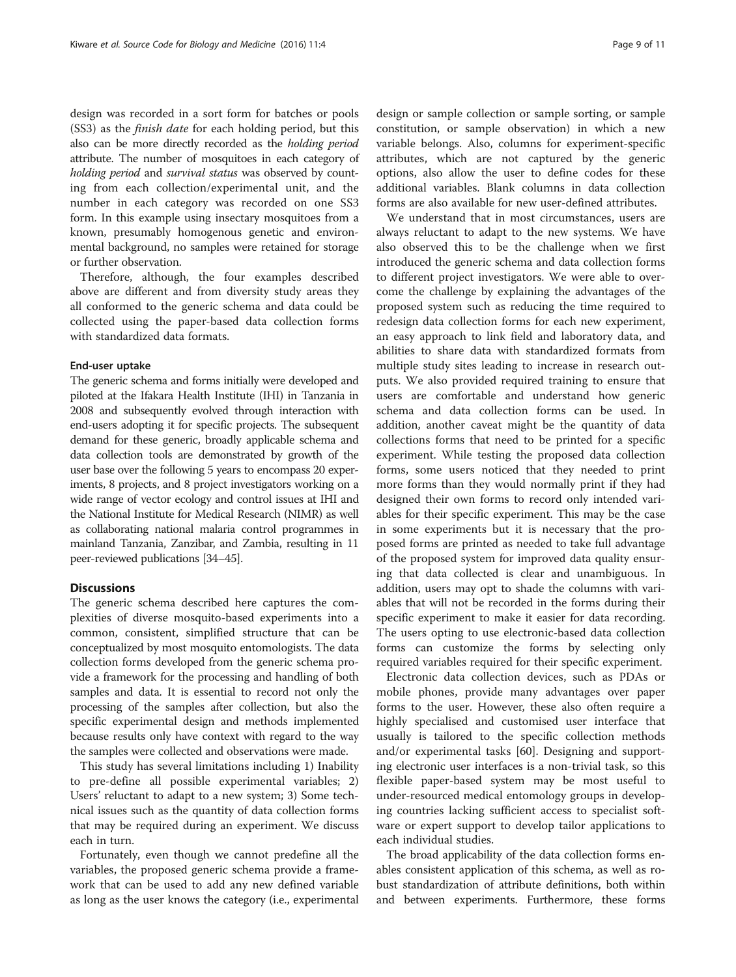design was recorded in a sort form for batches or pools (SS3) as the finish date for each holding period, but this also can be more directly recorded as the holding period attribute. The number of mosquitoes in each category of holding period and survival status was observed by counting from each collection/experimental unit, and the number in each category was recorded on one SS3 form. In this example using insectary mosquitoes from a known, presumably homogenous genetic and environmental background, no samples were retained for storage or further observation.

Therefore, although, the four examples described above are different and from diversity study areas they all conformed to the generic schema and data could be collected using the paper-based data collection forms with standardized data formats.

### End-user uptake

The generic schema and forms initially were developed and piloted at the Ifakara Health Institute (IHI) in Tanzania in 2008 and subsequently evolved through interaction with end-users adopting it for specific projects. The subsequent demand for these generic, broadly applicable schema and data collection tools are demonstrated by growth of the user base over the following 5 years to encompass 20 experiments, 8 projects, and 8 project investigators working on a wide range of vector ecology and control issues at IHI and the National Institute for Medical Research (NIMR) as well as collaborating national malaria control programmes in mainland Tanzania, Zanzibar, and Zambia, resulting in 11 peer-reviewed publications [\[34](#page-10-0)–[45\]](#page-10-0).

## **Discussions**

The generic schema described here captures the complexities of diverse mosquito-based experiments into a common, consistent, simplified structure that can be conceptualized by most mosquito entomologists. The data collection forms developed from the generic schema provide a framework for the processing and handling of both samples and data. It is essential to record not only the processing of the samples after collection, but also the specific experimental design and methods implemented because results only have context with regard to the way the samples were collected and observations were made.

This study has several limitations including 1) Inability to pre-define all possible experimental variables; 2) Users' reluctant to adapt to a new system; 3) Some technical issues such as the quantity of data collection forms that may be required during an experiment. We discuss each in turn.

Fortunately, even though we cannot predefine all the variables, the proposed generic schema provide a framework that can be used to add any new defined variable as long as the user knows the category (i.e., experimental design or sample collection or sample sorting, or sample constitution, or sample observation) in which a new variable belongs. Also, columns for experiment-specific attributes, which are not captured by the generic options, also allow the user to define codes for these additional variables. Blank columns in data collection forms are also available for new user-defined attributes.

We understand that in most circumstances, users are always reluctant to adapt to the new systems. We have also observed this to be the challenge when we first introduced the generic schema and data collection forms to different project investigators. We were able to overcome the challenge by explaining the advantages of the proposed system such as reducing the time required to redesign data collection forms for each new experiment, an easy approach to link field and laboratory data, and abilities to share data with standardized formats from multiple study sites leading to increase in research outputs. We also provided required training to ensure that users are comfortable and understand how generic schema and data collection forms can be used. In addition, another caveat might be the quantity of data collections forms that need to be printed for a specific experiment. While testing the proposed data collection forms, some users noticed that they needed to print more forms than they would normally print if they had designed their own forms to record only intended variables for their specific experiment. This may be the case in some experiments but it is necessary that the proposed forms are printed as needed to take full advantage of the proposed system for improved data quality ensuring that data collected is clear and unambiguous. In addition, users may opt to shade the columns with variables that will not be recorded in the forms during their specific experiment to make it easier for data recording. The users opting to use electronic-based data collection forms can customize the forms by selecting only required variables required for their specific experiment.

Electronic data collection devices, such as PDAs or mobile phones, provide many advantages over paper forms to the user. However, these also often require a highly specialised and customised user interface that usually is tailored to the specific collection methods and/or experimental tasks [[60\]](#page-10-0). Designing and supporting electronic user interfaces is a non-trivial task, so this flexible paper-based system may be most useful to under-resourced medical entomology groups in developing countries lacking sufficient access to specialist software or expert support to develop tailor applications to each individual studies.

The broad applicability of the data collection forms enables consistent application of this schema, as well as robust standardization of attribute definitions, both within and between experiments. Furthermore, these forms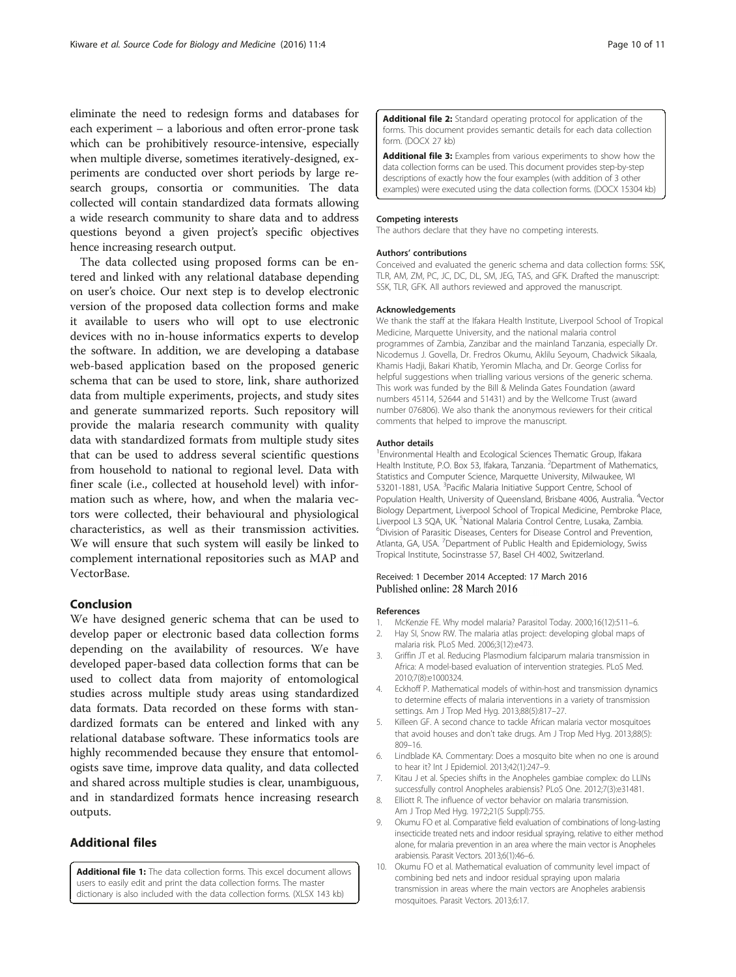<span id="page-9-0"></span>eliminate the need to redesign forms and databases for each experiment – a laborious and often error-prone task which can be prohibitively resource-intensive, especially when multiple diverse, sometimes iteratively-designed, experiments are conducted over short periods by large research groups, consortia or communities. The data collected will contain standardized data formats allowing a wide research community to share data and to address questions beyond a given project's specific objectives hence increasing research output.

The data collected using proposed forms can be entered and linked with any relational database depending on user's choice. Our next step is to develop electronic version of the proposed data collection forms and make it available to users who will opt to use electronic devices with no in-house informatics experts to develop the software. In addition, we are developing a database web-based application based on the proposed generic schema that can be used to store, link, share authorized data from multiple experiments, projects, and study sites and generate summarized reports. Such repository will provide the malaria research community with quality data with standardized formats from multiple study sites that can be used to address several scientific questions from household to national to regional level. Data with finer scale (i.e., collected at household level) with information such as where, how, and when the malaria vectors were collected, their behavioural and physiological characteristics, as well as their transmission activities. We will ensure that such system will easily be linked to complement international repositories such as MAP and VectorBase.

#### Conclusion

We have designed generic schema that can be used to develop paper or electronic based data collection forms depending on the availability of resources. We have developed paper-based data collection forms that can be used to collect data from majority of entomological studies across multiple study areas using standardized data formats. Data recorded on these forms with standardized formats can be entered and linked with any relational database software. These informatics tools are highly recommended because they ensure that entomologists save time, improve data quality, and data collected and shared across multiple studies is clear, unambiguous, and in standardized formats hence increasing research outputs.

## Additional files

[Additional file 1:](dx.doi.org/10.1186/s13029-016-0050-1) The data collection forms. This excel document allows users to easily edit and print the data collection forms. The master dictionary is also included with the data collection forms. (XLSX 143 kb)

[Additional file 2:](dx.doi.org/10.1186/s13029-016-0050-1) Standard operating protocol for application of the forms. This document provides semantic details for each data collection form. (DOCX 27 kb)

[Additional file 3:](dx.doi.org/10.1186/s13029-016-0050-1) Examples from various experiments to show how the data collection forms can be used. This document provides step-by-step descriptions of exactly how the four examples (with addition of 3 other examples) were executed using the data collection forms. (DOCX 15304 kb)

#### Competing interests

The authors declare that they have no competing interests.

#### Authors' contributions

Conceived and evaluated the generic schema and data collection forms: SSK, TLR, AM, ZM, PC, JC, DC, DL, SM, JEG, TAS, and GFK. Drafted the manuscript: SSK, TLR, GFK. All authors reviewed and approved the manuscript.

#### Acknowledgements

We thank the staff at the Ifakara Health Institute, Liverpool School of Tropical Medicine, Marquette University, and the national malaria control programmes of Zambia, Zanzibar and the mainland Tanzania, especially Dr. Nicodemus J. Govella, Dr. Fredros Okumu, Aklilu Seyoum, Chadwick Sikaala, Khamis Hadji, Bakari Khatib, Yeromin Mlacha, and Dr. George Corliss for helpful suggestions when trialling various versions of the generic schema. This work was funded by the Bill & Melinda Gates Foundation (award numbers 45114, 52644 and 51431) and by the Wellcome Trust (award number 076806). We also thank the anonymous reviewers for their critical comments that helped to improve the manuscript.

#### Author details

<sup>1</sup> Environmental Health and Ecological Sciences Thematic Group, Ifakara Health Institute, P.O. Box 53, Ifakara, Tanzania. <sup>2</sup>Department of Mathematics Statistics and Computer Science, Marquette University, Milwaukee, WI 53201-1881, USA. <sup>3</sup>Pacific Malaria Initiative Support Centre, School of Population Health, University of Queensland, Brisbane 4006, Australia. <sup>4</sup>Vector Biology Department, Liverpool School of Tropical Medicine, Pembroke Place, Liverpool L3 5QA, UK. <sup>5</sup>National Malaria Control Centre, Lusaka, Zambia.<br><sup>6</sup>Division of Passettic Diseases, Conters for Disease Control and Proventia <sup>6</sup>Division of Parasitic Diseases, Centers for Disease Control and Prevention, Atlanta, GA, USA. <sup>7</sup>Department of Public Health and Epidemiology, Swiss Tropical Institute, Socinstrasse 57, Basel CH 4002, Switzerland.

#### Received: 1 December 2014 Accepted: 17 March 2016 Published online: 28 March 2016

#### References

- 1. McKenzie FE. Why model malaria? Parasitol Today. 2000;16(12):511–6.
- 2. Hay SI, Snow RW. The malaria atlas project: developing global maps of malaria risk. PLoS Med. 2006;3(12):e473.
- 3. Griffin JT et al. Reducing Plasmodium falciparum malaria transmission in Africa: A model-based evaluation of intervention strategies. PLoS Med. 2010;7(8):e1000324.
- 4. Eckhoff P. Mathematical models of within-host and transmission dynamics to determine effects of malaria interventions in a variety of transmission settings. Am J Trop Med Hyg. 2013;88(5):817–27.
- 5. Killeen GF. A second chance to tackle African malaria vector mosquitoes that avoid houses and don't take drugs. Am J Trop Med Hyg. 2013;88(5): 809–16.
- 6. Lindblade KA. Commentary: Does a mosquito bite when no one is around to hear it? Int J Epidemiol. 2013;42(1):247–9.
- 7. Kitau J et al. Species shifts in the Anopheles gambiae complex: do LLINs successfully control Anopheles arabiensis? PLoS One. 2012;7(3):e31481.
- 8. Elliott R. The influence of vector behavior on malaria transmission. Am J Trop Med Hyg. 1972;21(5 Suppl):755.
- 9. Okumu FO et al. Comparative field evaluation of combinations of long-lasting insecticide treated nets and indoor residual spraying, relative to either method alone, for malaria prevention in an area where the main vector is Anopheles arabiensis. Parasit Vectors. 2013;6(1):46–6.
- 10. Okumu FO et al. Mathematical evaluation of community level impact of combining bed nets and indoor residual spraying upon malaria transmission in areas where the main vectors are Anopheles arabiensis mosquitoes. Parasit Vectors. 2013;6:17.